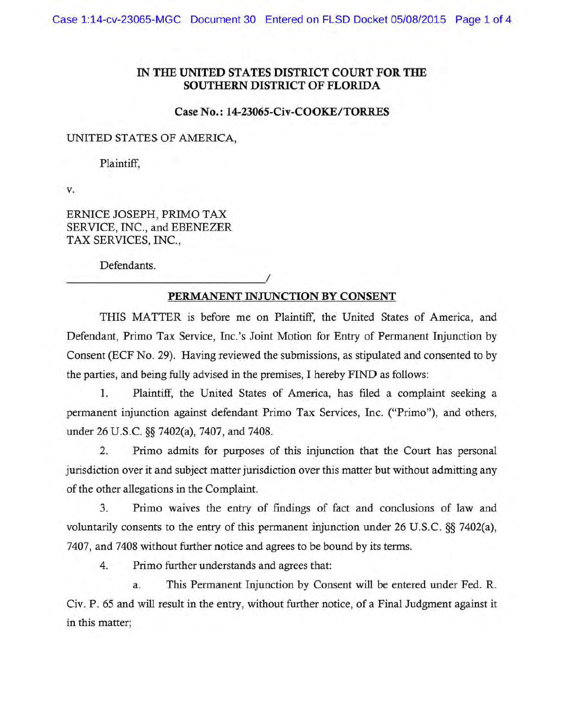## IN THE UNITED STATES DISTRICT COURT FOR THE SOUTHERN DISTRICT OF FLORIDA

## Case No.: 14-23065-Civ-COOKE/TORRES

## UNITED STATES OF AMERICA,

Plaintiff,

v.

ERNICE JOSEPH, PRIMO TAX SERVICE, INC., and EBENEZER TAX SERVICES, INC.,

*\_\_\_\_\_\_\_\_\_\_\_\_\_\_\_\_\_\_\_\_\_\_\_\_\_\_\_\_\_\_\_\_\_\_\_\_\_\_\_\_\_\_\_\_\_\_\_\_\_\_\_\_\_\_\_\_!* 

Defendants.

## PERMANENT INJUNCTION BY CONSENT

THIS MATTER is before me on Plaintiff, the United States of America, and Defendant, Primo Tax Service, Inc.'s Joint Motion for Entry of Permanent Injunction by Consent (ECF No. 29). Having reviewed the submissions, as stipulated and consented to by the parties, and being fully advised in the premises, I hereby FIND as follows:

1. Plaintiff, the United States of America, has filed a complaint seeking a permanent injunction against defendant Primo Tax Services, Inc. ("Primo"), and others, under 26 U.S.C. §§ 7402(a), 7407, and 7408.

2. Primo admits for purposes of this injunction that the Court has personal jurisdiction over it and subject matter jurisdiction over this matter but without admitting any of the other allegations in the Complaint.

3. Primo waives the entry of fmdings of fact and conclusions of law and voluntarily consents to the entry of this permanent injunction under 26 U.S.C. §§ 7402(a), 7407, and 7408 without further notice and agrees to be bound by its terms.

4. Primo further understands and agrees that:

a. This Permanent Injunction by Consent will be entered under Fed. R. Civ. P. 65 and will result in the entry, without further notice, of a Final Judgment against it in this matter;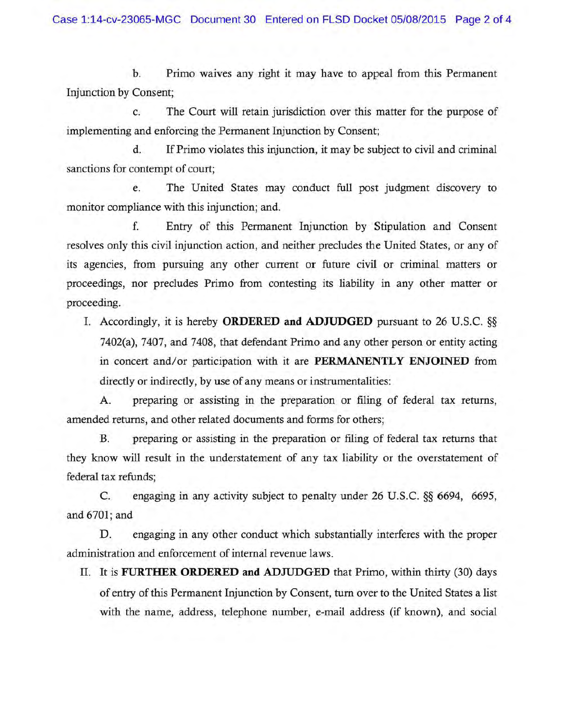b. Primo waives any right it may have to appeal from this Permanent Injunction by Consent;

c. The Court will retain jurisdiction over this matter for the purpose of implementing and enforcing the Permanent Injunction by Consent;

d. If Primo violates this injunction, it may be subject to civil and criminal sanctions for contempt of court;

e. The United States may conduct full post judgment discovery to monitor compliance with this injunction; and.

f. Entry of this Permanent Injunction by Stipulation and Consent resolves only this civil injunction action, and neither precludes the United States, or any of its agencies, from pursuing any other current or future civil or criminal matters or proceedings, nor precludes Primo from contesting its liability in any other matter or proceeding.

I. Accordingly, it is hereby ORDERED and ADJUDGED pursuant to 26 U.S.C. §§ 7402(a), 7407, and 7408, that defendant Primo and any other person or entity acting in concert and/or participation with it are PERMANENTLY ENJOINED from directly or indirectly, by use of any means or instrumentalities:

A. preparing or assisting in the preparation or filing of federal tax returns, amended returns, and other related documents and forms for others;

B. preparing or assisting in the preparation or filing of federal tax returns that they know will result in the understatement of any tax liability or the overstatement of federal tax refunds;

C. engaging in any activity subject to penalty under 26 U.S.C. §§ 6694, 6695, and 6701; and

D. engaging in any other conduct which substantially interferes with the proper administration and enforcement of internal revenue laws.

II. It is FURTHER ORDERED and ADJUDGED that Primo, within thirty (30) days of entry of this Permanent Injunction by Consent, turn over to the United States a list with the name, address, telephone number, e-mail address (if known), and social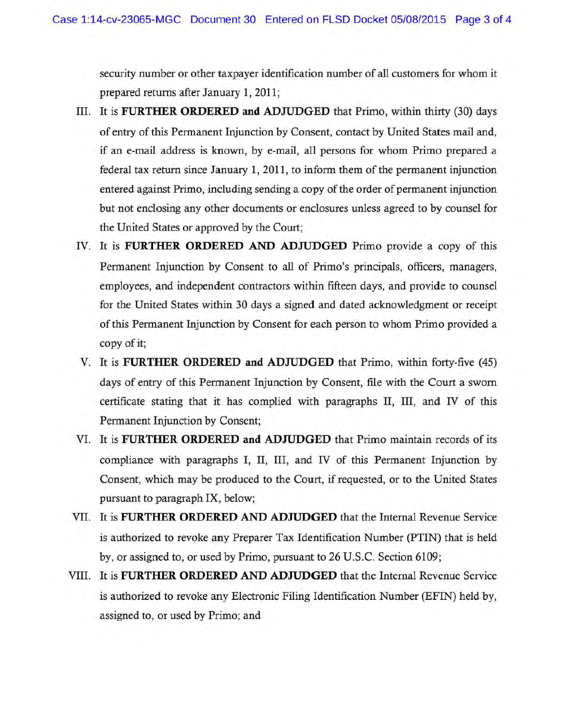security number or other taxpayer identification number of all customers for whom it prepared returns after January 1, 2011;

- III. It is **FURTHER ORDERED and ADJUDGED** that Primo, within thirty (30) days of entry of this Permanent Injunction by Consent, contact by United States mail and, if an e-mail address is known, by e-mail, all persons for whom Primo prepared a federal tax return since January 1, 2011, to inform them of the permanent injunction entered against Primo, including sending a copy of the order of permanent injunction but not enclosing any other documents or enclosures unless agreed to by counsel for the United States or approved by the Court;
- IV. It is **FURTHER ORDERED AND ADJUDGED** Primo provide a copy of this Permanent Injunction by Consent to all of Primo's principals, officers, managers, employees, and independent contractors within fifteen days, and provide to counsel for the United States within 30 days a signed and dated acknowledgment or receipt of this Permanent Injunction by Consent for each person to whom Primo provided a copy of it;
- V. It is **FURTHER ORDERED and ADJUDGED** that Primo, within forty-five (45) days of entry of this Permanent Injunction by Consent, file with the Court a sworn certificate stating that it has complied with paragraphs II, III, and IV of this Permanent Injunction by Consent;
- VI. It is **FURTHER ORDERED and ADJUDGED** that Primo maintain records of its compliance with paragraphs I, II, III, and IV of this Permanent Injunction by Consent, which may be produced to the Court, if requested, or to the United States pursuant to paragraph IX, below;
- VII. It is **FURTHER ORDERED AND ADJUDGED** that the Internal Revenue Service is authorized to revoke any Preparer Tax Identification Number (PTIN) that is held by, or assigned to, or used by Primo, pursuant to 26 U.S. C. Section 6109;
- VIII. It is **FURTHER ORDERED AND ADJUDGED** that the Internal Revenue Service is authorized to revoke any Electronic Filing Identification Number (EFIN) held by, assigned to, or used by Primo; and